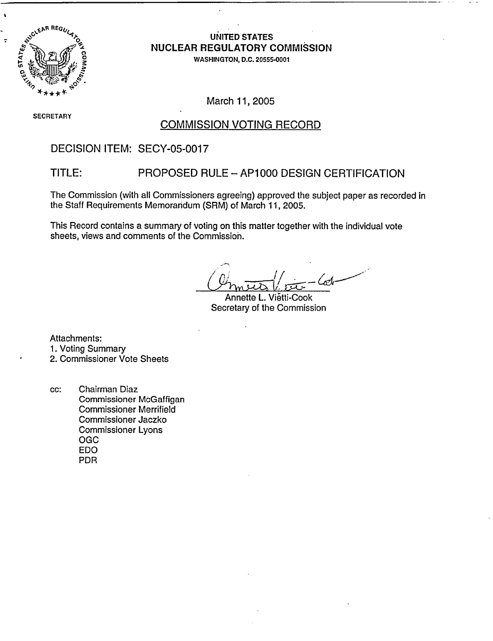

 $\overline{z}$ 

## 0 **UNITED STATES** Ad **ae NUCLEAR REGULATORY COMMISSION**

0 **WASHINGTON, D.C. 20555-0001**

March 11, 2005

**SECRETARY**

### COMMISSION VOTING RECORD

### DECISION ITEM: SECY-05-0017

### TITLE: PROPOSED RULE-AP1000 DESIGN CERTIFICATION

The Commission (with all Commissioners agreeing) approved the subject paper as recorded in the Staff Requirements Memorandum (SRM) of March 11, 2005.

This Record contains a summary of voting on this matter together with the individual vote sheets, views and comments of the Commission.

. (م<sup>س</sup>م)

Annette L. Vietti-Cook Secretary of the Commission

Attachments:

1. Voting Summary

2. Commissioner Vote Sheets

cc: Chairman Diaz Commissioner McGaffigan Commissioner Merrifield Commissioner Jaczko Commissioner Lyons OGC EDO PDR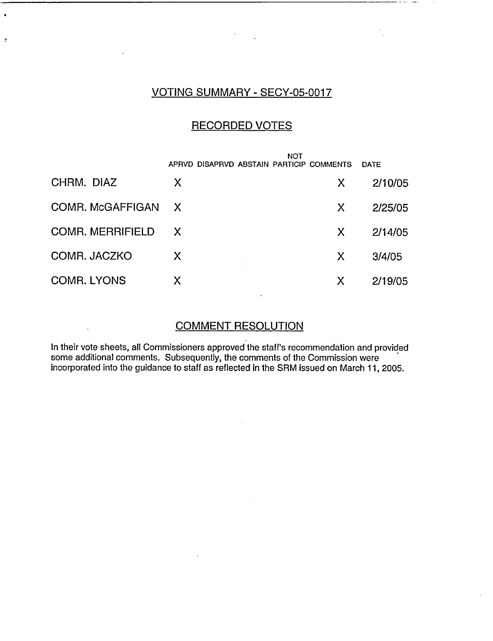## VOTING SUMMARY - SECY-05-0017

 $\ddot{\phantom{0}}$ 

 $\ddot{\cdot}$ 

 $\ddot{\phantom{a}}$ 

## RECORDED VOTES

|                         | APRVD DISAPRVD ABSTAIN PARTICIP COMMENTS | NOT | <b>DATE</b> |
|-------------------------|------------------------------------------|-----|-------------|
| CHRM. DIAZ              | X                                        | X   | 2/10/05     |
| COMR. McGAFFIGAN        | $\mathsf{X}$                             | X   | 2/25/05     |
| <b>COMR. MERRIFIELD</b> | X,                                       | X   | 2/14/05     |
| COMR. JACZKO            | X                                        | X   | 3/4/05      |
| <b>COMR. LYONS</b>      | Χ                                        | X   | 2/19/05     |

## COMMENT RESOLUTION

In their vote sheets, all Commissioners approved the staff's recommendation and provided some additional comments. Subsequently, the comments of the Commission were incorporated into the guidance to staff as reflected in the SRM issued on March 11, 2005.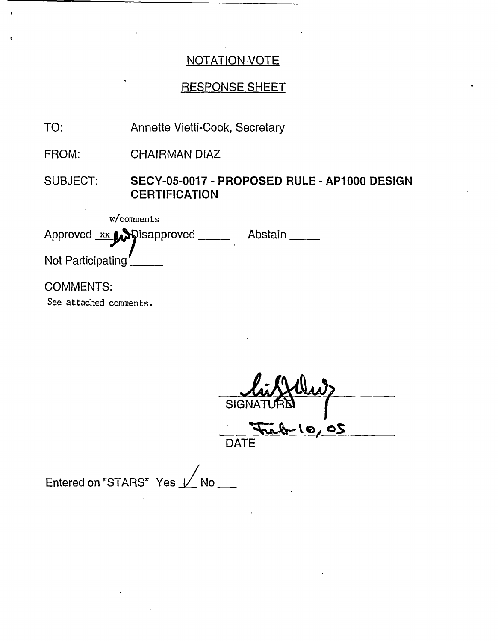## RESPONSE SHEET

TO: Annette Vietti-Cook, Secretary

FROM: CHAIRMAN DIAZ

SUBJECT: **SECY-05-0017 - PROPOSED RULE - AP1000 DESIGN CERTIFICATION**

w/comments Approved xx y Pisapproved \_\_\_\_ Abstain \_\_\_\_ Not Participating

## COMMENTS:

See attached comments.

SIG 7;-t **QIe** o

DATE

Entered on "STARS" Yes  $\sqrt{}$  No \_\_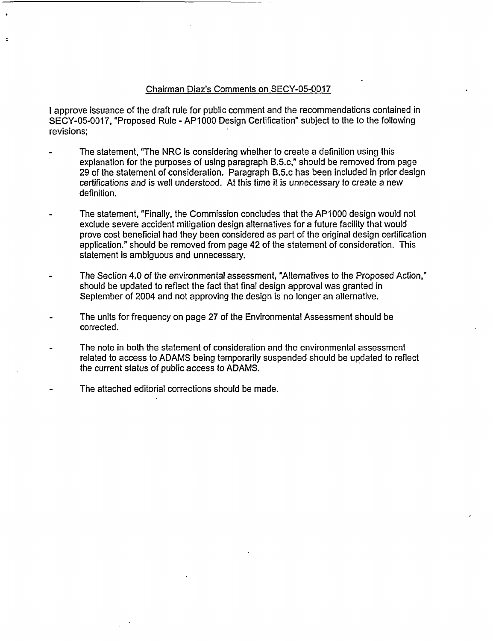#### Chairman Diaz's Comments on SECY-05-0017

I approve issuance of the draft rule for public comment and the recommendations contained in SECY-05-0017, "Proposed Rule - AP1000 Design Certification" subject to the to the following revisions;

- The statement, "The NRC is considering whether to create a definition using this explanation for the purposes of using paragraph B.5.c," should be removed from page 29 of the statement of consideration. Paragraph B.5.c has been included in prior design certifications and is well understood. At this time it is unnecessary to create a new definition.
- The statement, "Finally, the Commission concludes that the AP1000 design would not exclude severe accident mitigation design alternatives for a future facility that would prove cost beneficial had they been considered as part of the original design certification application." should be removed from page 42 of the statement of consideration. This statement is ambiguous and unnecessary.
- The Section 4.0 of the environmental assessment, "Alternatives to the Proposed Action," should be updated to reflect the fact that final design approval was granted in September of 2004 and not approving the design is no longer an alternative.
- The units for frequency on page 27 of the Environmental Assessment should be corrected.
- The note in both the statement of consideration and the environmental assessment related to access to ADAMS being temporarily suspended should be updated to reflect the current status of public access to ADAMS.
- The attached editorial corrections should be made.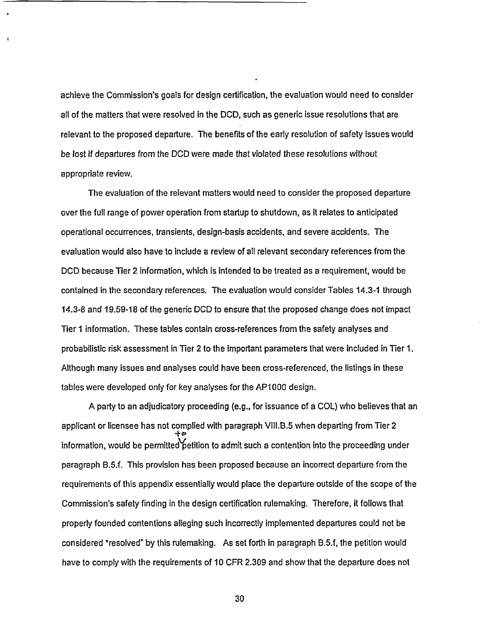achieve the Commission's goals for design certification, the evaluation would need to consider all of the matters that were resolved in the DCD, such as generic issue resolutions that are relevant to the proposed departure. The benefits of the early resolution of safety issues would be lost if departures from the DCD were made that violated these resolutions without appropriate review.

The evaluation of the relevant matters would need to consider the proposed departure over the full range of power operation from startup to shutdown, as it relates to anticipated operational occurrences, transients, design-basis accidents, and severe accidents. The evaluation would also have to include a review of all relevant secondary references from the DCD because Tier 2 information, which is intended to be treated as a requirement, would be contained in the secondary references. The evaluation would consider Tables 14.3-1 through 14.3-8 and 19.59-18 of the generic DCD to ensure that the proposed change does not impact Tier 1 information. These tables contain cross-references from the safety analyses and probabilistic risk assessment in Tier 2 to the important parameters that were included in Tier 1. Although many issues and analyses could have been cross-referenced, the listings in these tables were developed only for key analyses for the API 000 design.

A party to an adjudicatory proceeding (e.g., for issuance of a COL) who believes that an applicant or licensee has not complied with paragraph V111.B.5 when departing from Tier 2 information, would be permitted'petition to admit such a contention into the proceeding under paragraph B.5.f. This provision has been proposed because an incorrect departure from the requirements of this appendix essentially would place the departure outside of the scope of the Commission's safety finding in the design certification rulemaking. Therefore, it follows that properly founded contentions alleging such incorrectly implemented departures could not be considered "resolved" by this rulemaking. As set forth in paragraph B.5.f, the petition would have to comply with the requirements of 10 CFR 2.309 and show that the departure does not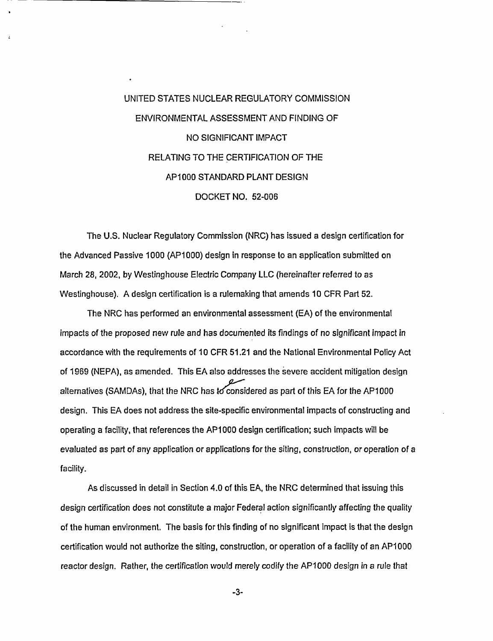# UNITED STATES NUCLEAR REGULATORY COMMISSION ENVIRONMENTAL ASSESSMENT AND FINDING OF NO SIGNIFICANT IMPACT RELATING TO THE CERTIFICATION OF THE APiOQO STANDARD PLANT DESIGN DOCKET NO. 52-006

The U.S. Nuclear Regulatory Commission (NRC) has issued a design certification for the Advanced Passive 1000 (AP1000) design in response to an application submitted on March 28, 2002, by Westinghouse Electric Company LLC (hereinafter referred to as Westinghouse). A design certification is a rulemaking that amends 10 CFR Part 52.

The NRC has performed an environmental assessment (EA) of the environmental impacts of the proposed new rule and has documented its findings of no significant impact in accordance with the requirements of 10 CFR 51.21 and the National Environmental Policy Act of 1969 (NEPA), as amended. This EA also addresses the severe accident mitigation design alternatives (SAMDAs), that the NRC has to considered as part of this EA for the AP1000 design. This EA does not address the site-specific environmental impacts of constructing and operating a facility, that references the AP1 000 design certification; such impacts will be evaluated as part of any application or applications for the siting, construction, or operation of a facility.

As discussed in detail in Section 4.0 of this EA, the NRC determined that issuing this design certification does not constitute a major Federal action significantly affecting the quality of the human environment. The basis for this finding of no significant impact is that the design certification would not authorize the siting, construction, or operation of a facility of an AP1000 reactor design. Rather, the certification would merely codify the AP1000 design in a rule that

-3-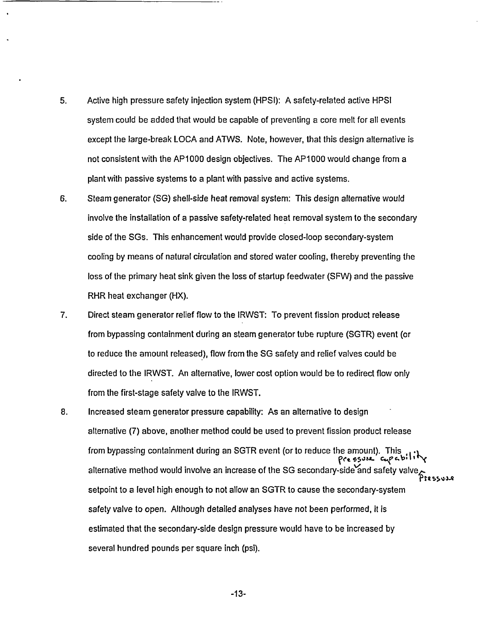- 5. Active high pressure safety injection system (HPSI): A safety-related active HPSI system could be added that would be capable of preventing a core melt for all events except the large-break LOCA and ATWS. Note, however, that this design alternative is not consistentwith the AP1000 design objectives. The AP1000 would change from a plant with passive systems to a plant with passive and active systems.
- 6. Steam generator (SG) shell-side heat removal system: This design alternative would involve the installation of a passive safety-related heat removal system to the secondary side of the SGs. This enhancement would provide closed-loop secondary-system cooling by means of natural circulation and stored water cooling, thereby preventing the loss of the primary heat sink given the loss of startup feedwater (SFW) and the passive RHR heat exchanger (HX).
- 7. Direct steam generator relief flow to the IRWST: To prevent fission product release from bypassing containment during an steam generator tube rupture (SGTR) event (or to reduce the amount released), flow from the SG safety and relief valves could be directed to the IRWST. An alternative, lower cost option would be to redirect flow only from the first-stage safety valve to the IRWST.
- 8. Increased steam generator pressure capability: As an alternative to design alternative (7) above, another method could be used to prevent fission product release from bypassing containment during an SGTR event (or to reduce the amount). This pressure capability alternative method would involve an increase of the SG secondary-side and safety valve setpoint to a level high enough to not allow an SGTR to cause the secondary-system safety valve to open. Although detailed analyses have not been performed, it is estimated that the secondary-side design pressure would have to be increased by several hundred pounds per square inch (psi).

-13-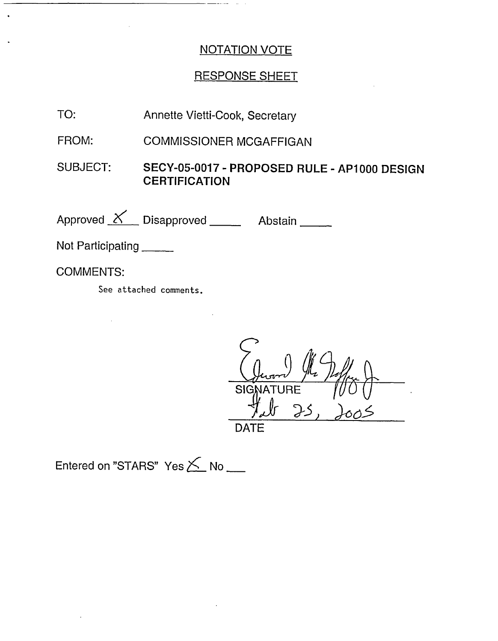## **RESPONSE SHEET**

- TO: Annette Vietti-Cook, Secretary
- FROM: **COMMISSIONER MCGAFFIGAN**
- **SUBJECT:** SECY-05-0017 - PROPOSED RULE - AP1000 DESIGN **CERTIFICATION**

Approved X Disapproved Abstain

Not Participating

l.

**COMMENTS:** 

See attached comments.

SIC **JRE DATE** 

Entered on "STARS" Yes X No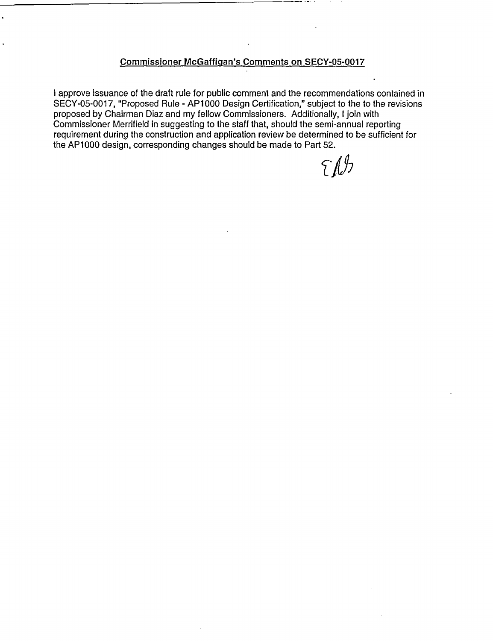#### **Commissioner McGaffigan's Comments on SECY-05-0017**

I approve issuance of the draft rule for public comment and the recommendations contained in SECY-05-0017, "Proposed Rule - AP1000 Design Certification," subject to the to the revisions proposed by Chairman Diaz and my fellow Commissioners. Additionally, I join with Commissioner Merrifield in suggesting to the staff that, should the semi-annual reporting requirement during the construction and application review be determined to be sufficient for the APIOQO design, corresponding changes should be made to Part 52.

 $\int f(x) dx$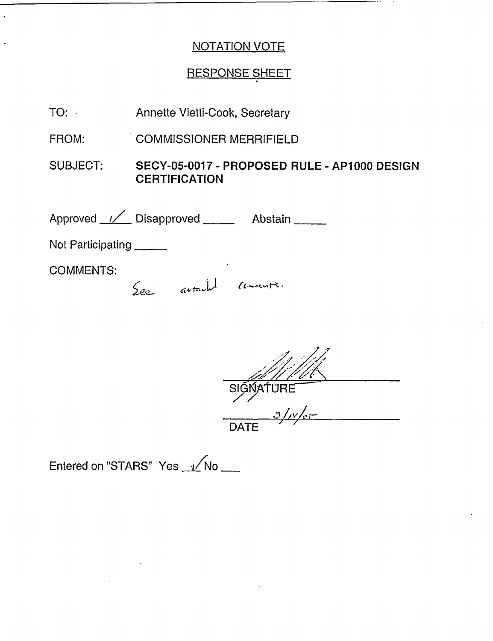# RESPONSE SHEET

| TO:               | Annette Vietti-Cook, Secretary                                       |  |  |
|-------------------|----------------------------------------------------------------------|--|--|
| FROM:             | <b>COMMISSIONER MERRIFIELD</b>                                       |  |  |
| SUBJECT:          | SECY-05-0017 - PROPOSED RULE - AP1000 DESIGN<br><b>CERTIFICATION</b> |  |  |
|                   | Approved / Disapproved ____ Abstain _____                            |  |  |
| Not Participating |                                                                      |  |  |
| <b>COMMENTS:</b>  | See arrached comments.                                               |  |  |

 $\frac{M V V}{S}$ <br>SIGNATURE<br>DATE

Entered on "STARS" Yes 1/No \_\_

 $\ddot{\phantom{0}}$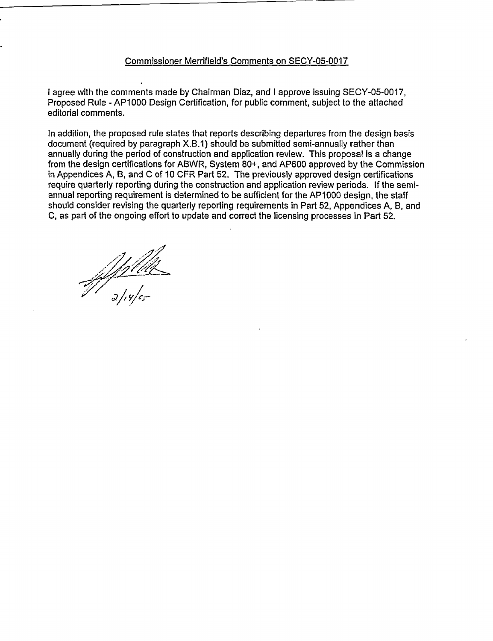#### Commissioner Merrifield's Comments on SECY-05-0017

I agree with the comments made by Chairman Diaz, and I approve issuing SECY-05-0017, Proposed Rule - AP1000 Design Certification, for public comment, subject to the attached editorial comments.

In addition, the proposed rule states that reports describing departures from the design basis document (required by paragraph X.B.1) should be submitted semi-annually rather than annually during the period of construction and application review. This proposal is a change from the design certifications for ABWR, System 80+, and AP600 approved by the Commission in Appendices A, B, and C of 10 CFR Part 52. The previously approved design certifications require quarterly reporting during the construction and application review periods. If the semiannual reporting requirement is determined to be sufficient for the AP1000 design, the staff should consider revising the quarterly reporting requirements in Part 52, Appendices A, B, and C, as part of the ongoing effort to update and correct the licensing processes in Part 52.

of filled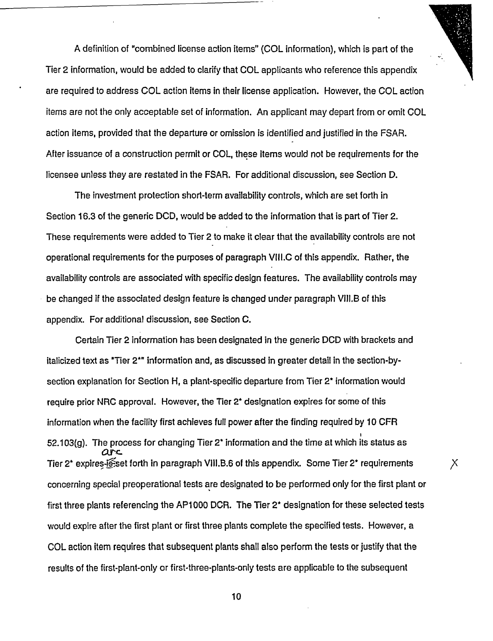A definition of "combined license action items" (COL information), which is part of the Tier 2 information, would be added to clarify that COL applicants who reference this appendix are required to address COL action items in their license application. However, the COL action items are not the only acceptable set of information. An applicant may depart from or omit COL action items, provided that the departure or omission is identified and justified in the FSAR. After issuance of a construction permit or COL, these items would not be requirements for the licensee unless they are restated in the FSAR. For additional discussion, see Section D.

The investment protection short-term availability controls, which are set forth in Section 16.3 of the generic DCD, would be added to the information that is part of Tier 2. These requirements were added to Tier 2 to make it clear that the availability controls are not operational requirements for the purposes of paragraph VIIL.C of this appendix. Rather, the availability controls are associated with specific design features. The availability controls may be changed if the associated design feature is changed under paragraph VlII.B of this appendix. For additional discussion, see Section C.

Certain Tier 2 information has been designated in the generic DCD with brackets and italicized text as "Tier 2\*" information and, as discussed in greater detail in the section-bysection explanation for Section H, a plant-specific departure from Tier 2\* information would require prior NRC approval. However, the Tier 2\* designation expires for some of this information when the facility first achieves full power after the finding required by 10 CFR 52.103(g). The process for changing Tier 2\* information and the time at which its status as arc Tier 2\* expires-is set forth in paragraph VIII.B.6 of this appendix. Some Tier 2\* requirements concerning special preoperational tests are designated to be performed only for the first plant or first three plants referencing the AP1 000 DCR. The Tier 2\* designation for these selected tests would expire after the first plant or first three plants complete the specified tests. However, a COL action item requires that subsequent plants shall also perform the tests or justify that the results of the first-plant-only or first-three-plants-only tests are applicable to the subsequent

X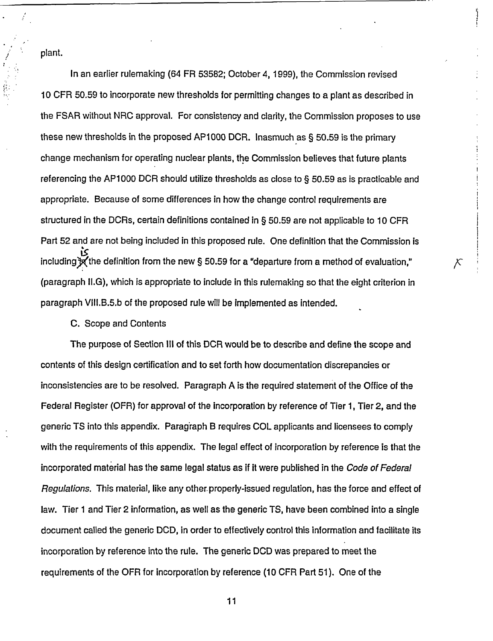plant.

In an earlier rulemaking (64 FR 53582; October 4, 1999), the Commission revised 10 CFR 50.59 to incorporate new thresholds for permitting changes to a plant as described in the FSAR without NRC approval. For consistency and clarity, the Commission proposes to use these new thresholds in the proposed AP1000 DCR. Inasmuch as § 50.59 is the primary change mechanism for operating nuclear plants, the Commission believes that future plants referencing the AP1000 DCR should utilize thresholds as close to § 50.59 as is practicable and appropriate. Because of some differences in how the change control requirements are structured in the DCRs, certain definitions contained in § 50.59 are not applicable to 10 CFR Part 52 and are not being included in this proposed rule. One definition that the Commission is including  $\mathbb{R}$  the definition from the new § 50.59 for a "departure from a method of evaluation," (paragraph Il.G), which is appropriate to include in this rulemaking so that the eight criterion in paragraph VIll.B.5.b of the proposed rule will be implemented as intended.

х

#### C. Scope and Contents

The purpose of Section III of this DCR would be to describe and define the scope and contents of this design certification and to set forth how documentation discrepancies or inconsistencies are to be resolved. Paragraph A is the required statement of the Office of the Federal Register (OFR) for approval of the incorporation by reference of Tier 1, Tier 2, and the generic TS into this appendix. Paragraph B requires COL applicants and licensees to comply with the requirements of this appendix. The legal effect of incorporation by reference is that the incorporated material has the same legal status as if it were published in the *Code of Federal Regulations.* This material, like any other.properly-issued regulation, has the force and effect of law. Tier 1 and Tier 2 information, as well as the generic TS, have been combined into a single document called the generic DCD, in order to effectively control this information and facilitate its incorporation by reference into the rule. The generic DCD was prepared to meet the requirements of the OFR for incorporation by reference (10 CFR Part 51). One of the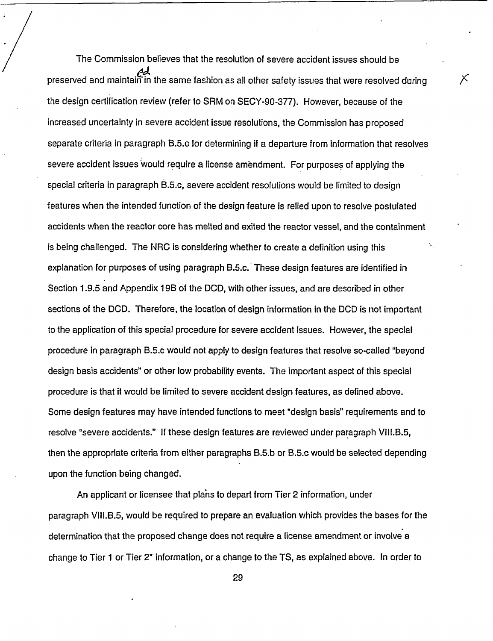The Commission believes that the resolution of severe accident issues should be preserved and maintain in the same fashion as all other safety issues that were resolved during the design certification review (refer to SRM on SECY-90-377). However, because of the increased uncertainty in severe accident issue resolutions, the Commission has proposed separate criteria in paragraph B.5.c for determining if a departure from information that resolves severe accident issues would require a license amendment. For purposes of applying the special criteria in paragraph B.5.c, severe accident resolutions would be limited to design features when the intended function of the design feature is relied upon to resolve postulated accidents when the reactor core has melted and exited the reactor vessel, and the containment is being challenged. The NRC is considering whether to create a definition using this explanation for purposes of using paragraph B.5.c. These design features are identified in Section 1.9.5 and Appendix 19B of the DCD, with other issues, and are described in other sections of the DCD. Therefore, the location of design information in the DCD is not important to the application of this special procedure for severe accident issues. However, the special procedure in paragraph B.5.c would not apply to design features that resolve so-called "beyond design basis accidents" or other low probability events. The important aspect of this special procedure is that it would be limited to severe accident design features, as defined above. Some design features may have intended functions to meet "design basis" requirements and to resolve "severe accidents." If these design features are reviewed under paragraph VIII.B.5, then the appropriate criteria from either paragraphs B.5.b or B.5.c would be selected depending upon the function being changed.

Х

An applicant or licensee that plahs to depart from Tier 2 information, under paragraph VIII.B.5, would be required to prepare an evaluation which provides the bases for the determination that the proposed change does not require a license amendment or involve a change to Tier 1 or Tier 2\* information, or a change to the TS, as explained above. In order to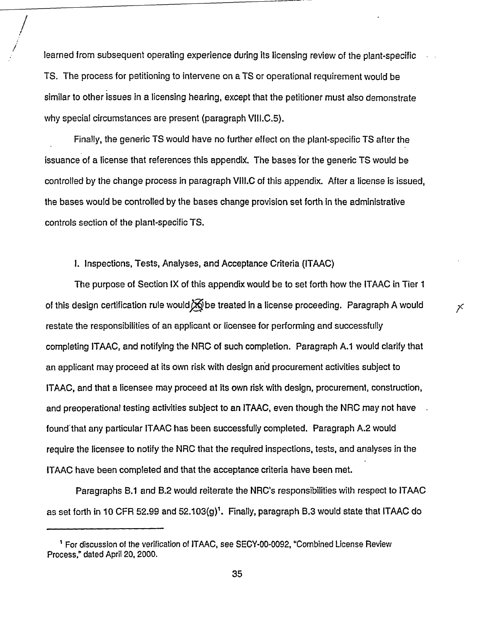learned from subsequent operating experience during its licensing review of the plant-specific TS. The process for petitioning to intervene on a TS or operational requirement would be similar to other issues in a licensing hearing, except that the petitioner must also demonstrate why special circumstances are present (paragraph VIII.C.5).

Finally, the generic TS would have no further effect on the plant-specific TS after the issuance of a license that references this appendix. The bases for the generic TS would be controlled by the change process in paragraph VIII.C of this appendix. After a license is issued, the bases would be controlled by the bases change provision set forth in the administrative controls section of the plant-specific TS.

I. Inspections, Tests, Analyses, and Acceptance Criteria (ITAAC)

The purpose of Section IX of this appendix would be to set forth how the ITAAC in Tier 1 of this design certification rule would  $\delta \vec{\Theta}$  be treated in a license proceeding. Paragraph A would restate the responsibilities of an applicant or licensee for performing and successfully completing ITAAC, and notifying the NRC of such completion. Paragraph A.1 would clarify that an applicant may proceed at its own risk with design and procurement activities subject to ITAAC, and that a licensee may proceed at its own risk with design, procurement, construction, and preoperational testing activities subject to an ITAAC, even though the NRC may not have found'that any particular ITAAC has been successfully completed. Paragraph A.2 would require the licensee to notify the NRC that the required inspections, tests, and analyses in the ITAAC have been completed and that the acceptance criteria have been met.

 $\times$ 

Paragraphs B.1 and B.2 would reiterate the NRC's responsibilities with respect to ITAAC as set forth in 10 CFR 52.99 and 52.103(g)'. Finally, paragraph B.3 would state that ITAAC do

<sup>&#</sup>x27; For discussion of the verification of ITAAC, see SECY-00-0092, 'Combined License Review Process," dated April 20, 2000.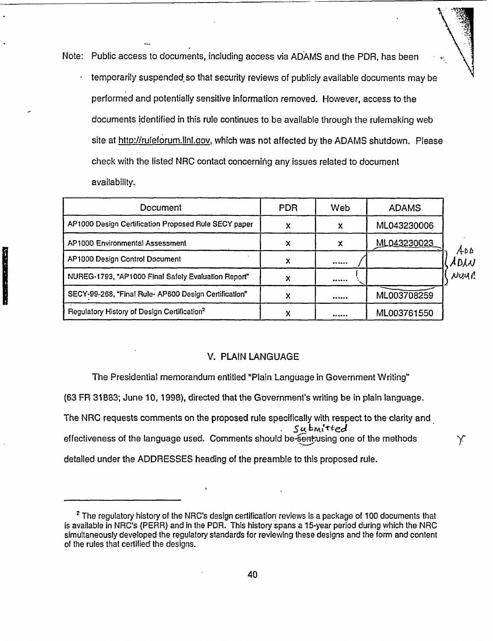Note: Public access to documents, including access via ADAMS and the PDR, has been temporarily suspended, so that security reviews of publicly available documents may be performed and potentially sensitive information removed. However, access to the documents identified in this rule continues to be available through the rulemaking web site at htto://ruleforum.llnl.oov, which was not affected by the ADAMS shutdown. Please check with the listed NRC contact concerning any issues related to document availability.

| Document                                                | PDR. | Web | <b>ADAMS</b> |              |
|---------------------------------------------------------|------|-----|--------------|--------------|
| AP1000 Design Certification Proposed Rule SECY paper    |      | X   | ML043230006  |              |
| <b>AP1000 Environmental Assessment</b>                  |      | х   | ML043230023  |              |
| AP1000 Design Control Document                          |      |     |              | A۵۵.<br>ADAN |
| NUREG-1793, "AP1000 Final Safely Evaluation Report"     |      |     |              | NUMP         |
| SECY-99-268, "Final Rule-AP600 Design Certification"    | х    |     | ML003708259  |              |
| Regulatory History of Design Certification <sup>2</sup> |      |     | ML003761550  |              |

#### V. PLAIN LANGUAGE

The Presidential memorandum entitled "Plain Language in Government Writing"

(63 FR 31883; June 10, 1998), directed that the Government's writing be in plain language.

**Manufacturer** 

The NRC requests comments on the proposed rule specifically with respect to the clarity and Submi<sup>tted</sup> effectiveness of the language used. Comments should be-sent-using one of the methods  $\gamma$ detailed under the ADDRESSES heading of the preamble to this proposed rule.

<sup>&</sup>lt;sup>2</sup> The regulatory history of the NRC's design certification reviews is a package of 100 documents that is available in NRC's (PERR) and in the PDR. This history spans a 15-year period during which the NRC simultaneously developed the regulatory standards for reviewing these designs and the form and content of the rules that certified the designs.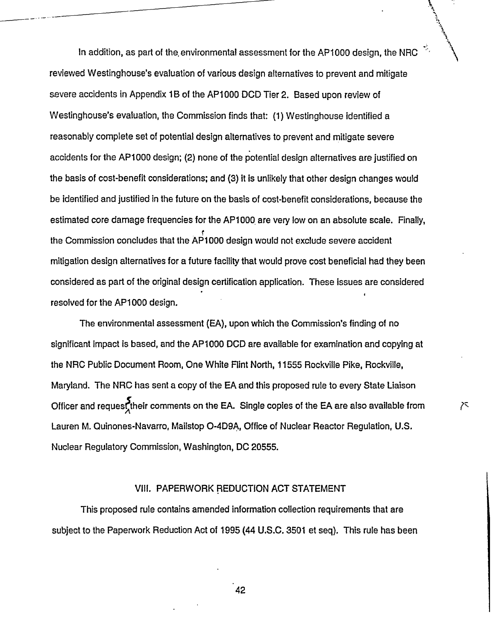In addition, as part of the, environmental assessment for the AP1000 design, the NRC reviewed Westinghouse's evaluation of various design alternatives to prevent and mitigate severe accidents in Appendix 1B of the AP1000 DCD Tier 2. Based upon review of Westinghouse's evaluation, the Commission finds that: (1) Westinghouse identified a reasonably complete set of potential design alternatives to prevent and mitigate severe accidents for the AP1000 design; (2) none of the potential design alternatives are justified on the basis of cost-benefit considerations; and (3) it is unlikely that other design changes would be identified and justified in the future on the basis of cost-benefit considerations, because the estimated core damage frequencies for the AP1000 are very low on an absolute scale. Finally, the Commission concludes that the AP1000 design would not exclude severe accident mitigation design alternatives for a future facility that would prove cost beneficial had they been considered as part of the original design certification application. These issues are considered resolved for the AP1000 design.

The environmental assessment (EA), upon which the Commission's finding of no significant impact is based, and the AP1000 DCD are available for examination and copying at the NRC Public Document Room, One White Flint North, 11555 Rockville Pike, Rockville, Maryland. The NRC has sent a copy of the EA and this proposed rule to every State Liaison Officer and request their comments on the EA. Single copies of the EA are also available from Lauren M. Quinones-Navarro, Mailstop O-4D9A, Office of Nuclear Reactor Regulation, U.S. Nuclear Regulatory Commission, Washington, DC 20555.

ᄌ

#### VlIl. PAPERWORK REDUCTION ACT STATEMENT

This proposed rule contains amended information collection requirements that are subject to the Paperwork Reduction Act of 1995 (44 U.S.C. 3501 et seq). This rule has been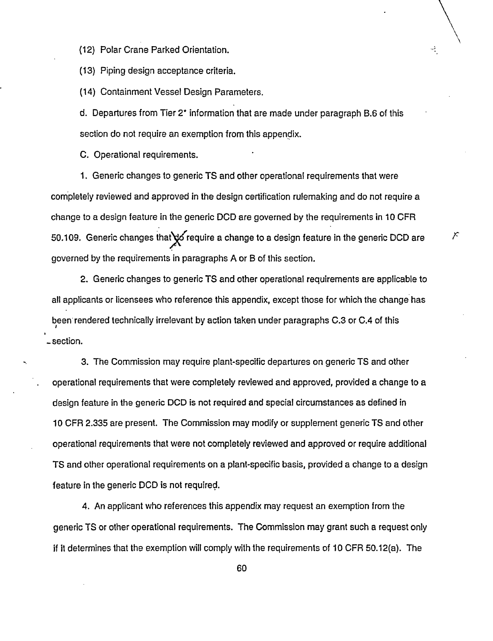(12) Polar Crane Parked Orientation.

(13) Piping design acceptance criteria.

(14) Containment Vessel Design Parameters.

d. Departures from Tier 2\* information that are made under paragraph B.6 of this section do not require an exemption from this appendix.

÷,

C. Operational requirements.

1. Generic changes to generic TS and other operational requirements that were completely reviewed and approved in the design certification rulemaking and do not require a change to a design feature in the generic DCD are governed by the requirements in 10 CFR 50.109. Generic changes that to require a change to a design feature in the generic DCD are  $\sim$ governed by the requirements in paragraphs A or B of this section.

2. Generic changes to generic TS and other operational requirements are applicable to all applicants or licensees who reference this appendix, except those for which the change has been rendered technically irrelevant by action taken under paragraphs C.3 or C.4 of this section.

3. The Commission may require plant-specific departures on generic TS and other operational requirements that were completely reviewed and approved, provided a change to a design feature in the generic DCD is not required and special circumstances as defined in 10 CFR 2.335 are present. The Commission may modify or supplement generic TS and other operational requirements that were not completely reviewed and approved or require additional TS and other operational requirements on a plant-specific basis, provided a change to a design feature in the generic DCD is not required.

4. An applicant who references this appendix may request an exemption from the generic TS or other operational requirements. The Commission may grant such a request only if it determines that the exemption will comply with the requirements of 10 CFR 50.12(a). The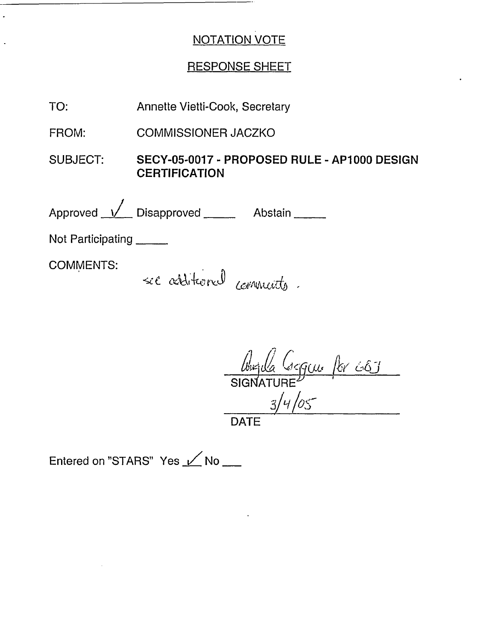## RESPONSE SHEET

| TO:               | Annette Vietti-Cook, Secretary                                       |  |
|-------------------|----------------------------------------------------------------------|--|
| FROM:             | <b>COMMISSIONER JACZKO</b>                                           |  |
| <b>SUBJECT:</b>   | SECY-05-0017 - PROPOSED RULE - AP1000 DESIGN<br><b>CERTIFICATION</b> |  |
|                   | Approved <u>V</u> Disapproved Abstain                                |  |
| Not Participating |                                                                      |  |
| <b>COMMENTS:</b>  | sec additional community.                                            |  |

**DATE** 

Entered on "STARS" Yes / No \_\_

 $\ddot{\phantom{a}}$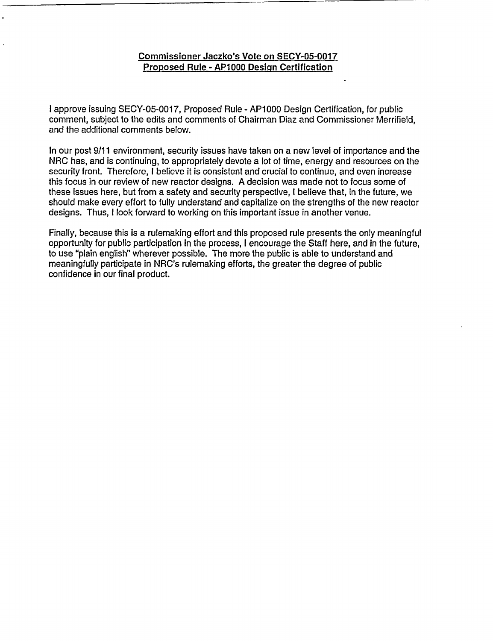#### **Commissioner Jaczko's Vote on SECY-05-0017 Proposed Rule** - **AP1000 Desiqn Certification**

I approve issuing SECY-05-0017, Proposed Rule - AP1000 Design Certification, for public comment, subject to the edits and comments of Chairman Diaz and Commissioner Merrifield, and the additional comments below.

In our post 9/11 environment, security issues have taken on a new level of importance and the NRC has, and is continuing, to appropriately devote a lot of time, energy and resources on the security front. Therefore, I believe it is consistent and crucial to continue, and even increase this focus in our review of new reactor designs. A decision was made not to focus some of these issues here, but from a safety and security perspective, I believe that, in the future, we should make every effort to fully understand and capitalize on the strengths of the new reactor designs. Thus, I look forward to working on this important issue in another venue.

Finally, because this is a rulemaking effort and this proposed rule presents the only meaningful opportunity for public participation in the process, I encourage the Staff here, and in the future, to use "plain english" wherever possible. The more the public is able to understand and meaningfully participate in NRC's rulemaking efforts, the greater the degree of public confidence in our final product.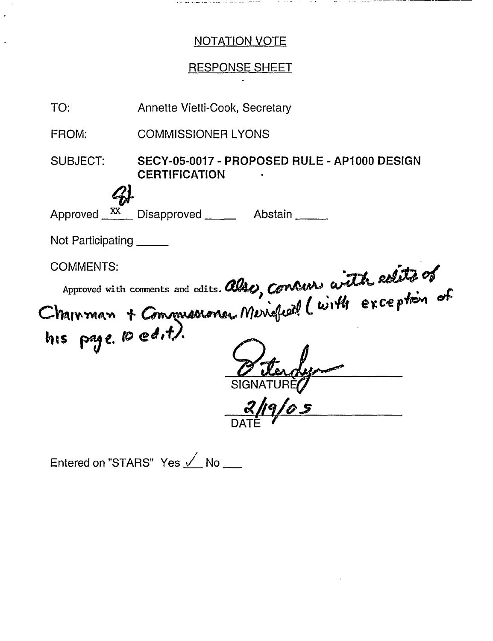and an interesting

## **RESPONSE SHEET**



Entered on "STARS" Yes / No \_\_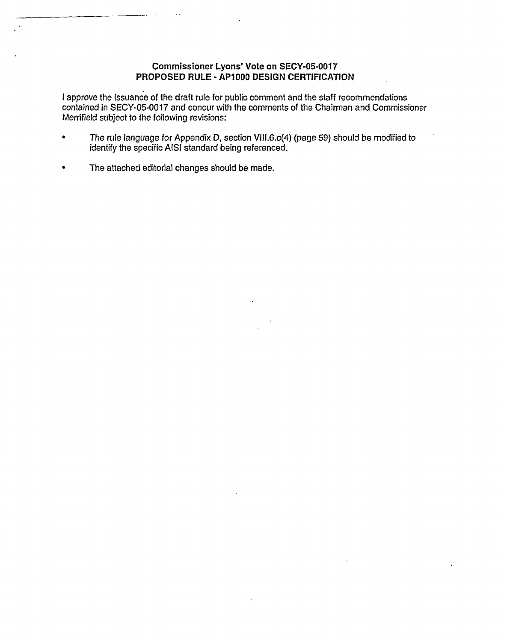# **PROPOSED RULE** - **AP1000 DESIGN CERTIFICATION** In approve the issuance of the issuance of the draft rule for public comment and the staff recommendations of the staff recommendations  $\mathcal{L}_\mathcal{S}$

I approve the issuance of the draft rule for public comment and the staff recommendations contained in SECY-05-0017 and concur with the comments of the Chairman and Commissioner  $\mathcal{T}_{\mathcal{A}}$  The rule language for  $\mathcal{A}$ 

- The rule language for Appendix D, section VIII.6.c(4) (page 59) should be modified to identify the specific AISI standard being referenced.  $\bullet$  $\mathcal{L}$  The attached editorial changes should be made.
	- The attached editorial changes should be made.  $\bullet$

. . . . . . . .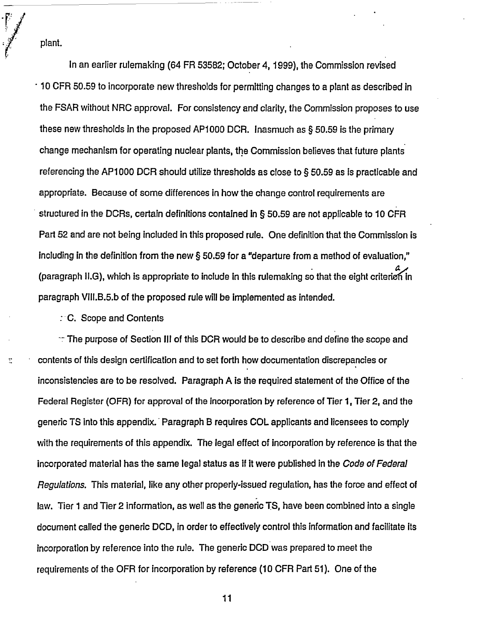plant.

 $\ddot{\Xi}$ 

In an earlier rulemaking (64 FR 53582; October 4, 1999), the Commission revised 10 CFR 50.59 to incorporate new thresholds for permitting changes to a plant as described in the FSAR without NRC approval. For consistency and clarity, the Commission proposes to use these new thresholds in the proposed AP1000 DCR. Inasmuch as  $\S$  50.59 is the primary change mechanism for operating nuclear plants, the Commission believes that future plants referencing the AP1000 DCR should utilize thresholds as close to § 50.59 as is practicable and appropriate. Because of some differences in how the change control requirements are structured in the DCRs, certain definitions contained in § 50.59 are not applicable to 10 CFR Part 52 and are not being included in this proposed rule. One definition that the Commission is Including in the definition from the new § 50.59 for a "departure from a method of evaluation," (paragraph II.G), which is appropriate to include in this rulemaking so that the eight criterion in paragraph V1II.B.5.b of the proposed rule will be implemented as intended.

C. Scope and Contents

 $\mathbb{T}$  The purpose of Section III of this DCR would be to describe and define the scope and contents of this design certification and to set forth how documentation discrepancies or inconsistencies are to be resolved. Paragraph A is the required statement of the Office of the Federal Register (OFR) for approval of the Incorporation by reference of Tier 1, Tier 2, and the generic TS into this appendix. Paragraph B requires COL applicants and licensees to comply with the requirements of this appendix. The legal effect of incorporation by reference is that the incorporated material has the same legal status as if it were published in the *Code* of *Federal Regulations.* This material, like any other properly-issued regulation, has the force and effect of law. Tier 1 and Tier 2 information, as well as the generic TS, have been combined into a single document called the generic DCD, in order to effectively control this information and facilitate its incorporation by reference into the rule. The generic DCD was prepared to meet the requirements of the OFR for incorporation by reference (10 CFR Part 51). One of the